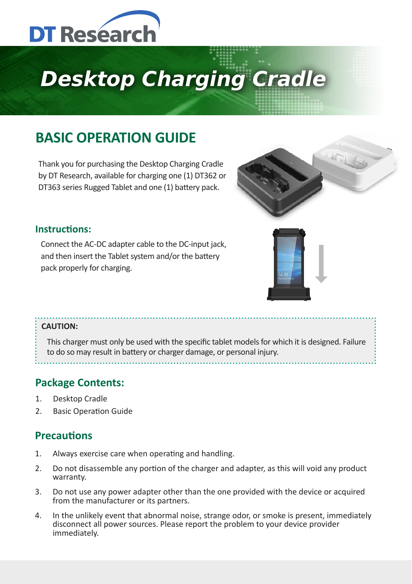

# **Desktop Charging Cradle**

# **BASIC OPERATION GUIDE**

Thank you for purchasing the Desktop Charging Cradle by DT Research, available for charging one (1) DT362 or DT363 series Rugged Tablet and one (1) battery pack.



#### **Instructions:**

Connect the AC-DC adapter cable to the DC-input jack, and then insert the Tablet system and/or the battery pack properly for charging.



#### **CAUTION:**

This charger must only be used with the specific tablet models for which it is designed. Failure to do so may result in battery or charger damage, or personal injury.

### **Package Contents:**

- 1. Desktop Cradle
- 2. Basic Operation Guide

## **Precautions**

- 1. Always exercise care when operating and handling.
- 2. Do not disassemble any portion of the charger and adapter, as this will void any product warranty.
- 3. Do not use any power adapter other than the one provided with the device or acquired from the manufacturer or its partners.
- 4. In the unlikely event that abnormal noise, strange odor, or smoke is present, immediately disconnect all power sources. Please report the problem to your device provider immediately.